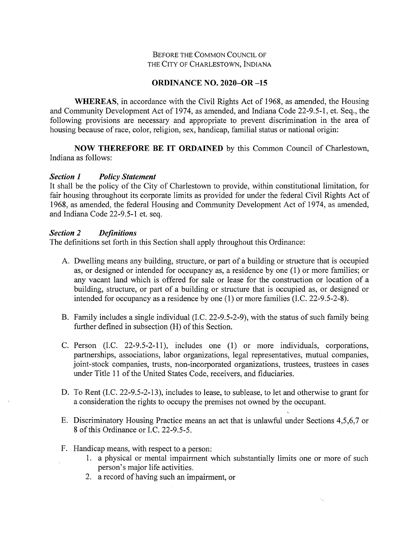### Before the Common Council of THE City of Charlestown, Indiana

### **ORDINANCE NO. 2020-OR -15**

WHEREAS, in accordance with the Civil Rights Act of 1968, as amended, the Housing and Community Development Act of 1974, as amended, and Indiana Code 22-9.5-1, et. Seq., the following provisions are necessary and appropriate to prevent discrimination in the area of housing because of race, color, religion, sex, handicap, familial status or national origin:

**NOW THEREFORE BE IT ORDAINED** by this Common Council of Charlestown, Indiana as follows:

### *Section 1 Policy Statement*

It shall be the policy of the City of Charlestown to provide, within constitutional limitation, for fair housing throughout its corporate limits as provided for under the federal Civil Rights Act of 1968, as amended, the federal Housing and Community Development Act of 1974, as amended, and Indiana Code 22-9.5-1 et. seq.

### *Section 2 Definitions*

The definitions set forth in this Section shall apply throughout this Ordinance:

- A. Dwelling means any building, structure, or part of a building or structure that is occupied as, or designed or intended for occupancy as, a residence by one (1) or more families; or any vacant land which is offered for sale or lease for the construction or location of a building, structure, or part of a building or structure that is occupied as, or designed or intended for occupancy as a residence by one (1) or more families (I.C. 22-9.5-2-8).
- B. Family includes a single individual (I.C. 22-9.5-2-9), with the status of such family being further defined in subsection (H) of this Section.
- C. Person (I.C. 22-9.5-2-11), includes one (1) or more individuals, corporations, partnerships, associations, labor organizations, legal representatives, mutual companies, joint-stock companies, trusts, non-incorporated organizations, trustees, trustees in cases under Title 11 of the United States Code, receivers, and fiduciaries.
- D. To Rent (I.C. 22-9.5-2-13), includes to lease, to sublease, to let and otherwise to grant for a consideration the rights to occupy the premises not owned by the occupant.
- E. Discriminatory Housing Practice means an act that is unlawful under Sections 4,5,6,7 or 8 of this Ordinance or I.C. 22-9.5-5.
- F. Handicap means, with respect to a person:
	- 1. a physical or mental impairment which substantially limits one or more of such person's major life activities.
	- 2. a record of having such an impairment, or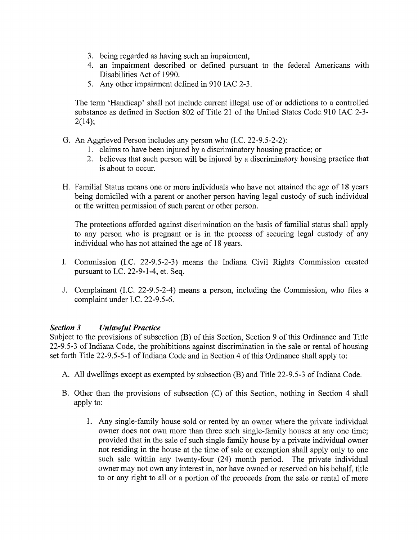- 3. being regarded as having such an impairment,
- 4. an impairment described or defined pursuant to the federal Americans with Disabilities Act of 1990.
- 5. Any other impairment defined in 910 IAC 2-3.

The term 'Handicap' shall not include current illegal use of or addictions to a controlled substance as defined in Section 802 of Title 21 of the United States Code 910 lAC 2-3-  $2(14)$ ;

- G. An Aggrieved Person includes any person who (I.C. 22-9.5-2-2):
	- 1. claims to have been injured by a discriminatory housing practice; or
	- 2. believes that such person will be injured by a discriminatory housing practice that is about to occur.
- H. Familial Status means one or more individuals who have not attained the age of 18 years being domiciled with a parent or another person having legal custody of such individual or the written permission of such parent or other person.

The protections afforded against discrimination on the basis of familial status shall apply to any person who is pregnant or is in the process of securing legal custody of any individual who has not attained the age of 18 years.

- I. Commission (I.C. 22-9.5-2-3) means the Indiana Civil Rights Commission created pursuant to I.C. 22-9-1-4, et. Seq.
- J. Complainant (I.C. 22-9.5-2-4) means a person, including the Commission, who files a complaint under I.C. 22-9.5-6.

# *Section 3 Unlawful Practice*

Subject to the provisions of subsection (B) of this Section, Section 9 of this Ordinance and Title 22-9.5-3 of Indiana Code, the prohibitions against discrimination in the sale or rental of housing set forth Title 22-9.5-5-1 of Indiana Code and in Section 4 of this Ordinance shall apply to:

- A. All dwellings except as exempted by subsection (B) and Title 22-9.5-3 of Indiana Code.
- B. Other than the provisions of subsection (C) of this Section, nothing in Section 4 shall apply to:
	- 1. Any single-family house sold or rented by an owner where the private individual owner does not own more than three such single-family houses at any one time; provided that in the sale of such single family house by a private individual owner not residing in the house at the time of sale or exemption shall apply only to one such sale within any twenty-four (24) month period. The private individual owner may not own any interest in, nor have owned or reserved on his behalf, title to or any right to all or a portion of the proceeds from the sale or rental of more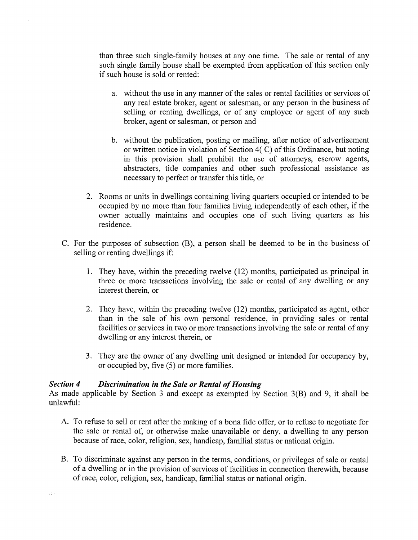than three such single-family houses at any one time. The sale or rental of any such single family house shall be exempted from application of this section only if such house is sold or rented:

- a. without the use in any manner of the sales or rental facilities or services of any real estate broker, agent or salesman, or any person in the business of selling or renting dwellings, or of any employee or agent of any such broker, agent or salesman, or person and
- b. without the publication, posting or mailing, after notice of advertisement or written notice in violation of Section 4(C) of this Ordinance, but noting in this provision shall prohibit the use of attorneys, escrow agents, abstracters, title companies and other such professional assistance as necessary to perfect or transfer this title, or
- 2. Rooms or units in dwellings containing living quarters occupied or intended to be occupied by no more than four families living independently of each other, if the owner actually maintains and occupies one of such living quarters as his residence.
- C. For the purposes of subsection (B), a person shall be deemed to be in the business of selling or renting dwellings if:
	- 1. They have, within the preceding twelve (12) months, participated as principal in three or more transactions involving the sale or rental of any dwelling or any interest therein, or
	- 2. They have, within the preceding twelve (12) months, participated as agent, other than in the sale of his own personal residence, in providing sales or rental facilities or services in two or more transactions involving the sale or rental of any dwelling or any interest therein, or
	- 3. They are the owner of any dwelling unit designed or intended for occupancy by, or occupied by, five (5) or more families.

### *Section* 4 *Discrimination in the Sale or Rental of Housing*

As made applicable by Section 3 and except as exempted by Section 3(B) and 9, it shall be unlawful:

- A. To refuse to sell or rent after the making of a bona fide offer, or to refuse to negotiate for the sale or rental of, or otherwise make unavailable or deny, a dwelling to any person beeause ofrace, color, religion, sex, handicap, familial status or national origin.
- B. To discriminate against any person in the terms, conditions, or privileges of sale or rental of a dwelling or in the provision of services of facilities in connection therewith, because ofrace, color, religion, sex, handicap, familial status or national origin.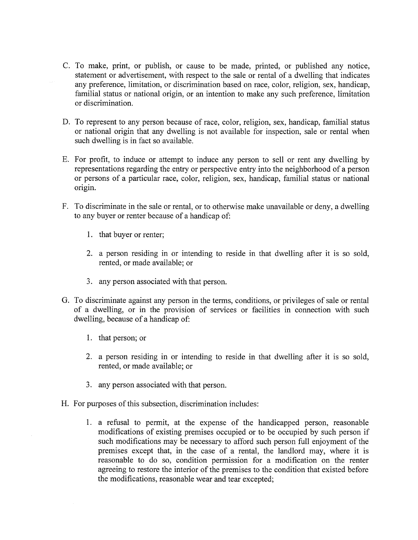- C. To make, print, or publish, or cause to be made, printed, or published any notice, statement or advertisement, with respect to the sale or rental of a dwelling that indicates any preference, limitation, or discrimination based on race, color, religion, sex, handicap, familial status or national origin, or an intention to make any such preference, limitation or discrimination.
- D. To represent to any person because of race, color, religion, sex, handicap, familial status or national origin that any dwelling is not available for inspection, sale or rental when such dwelling is in fact so available.
- E. For profit, to induce or attempt to induce any person to sell or rent any dwelling by representations regarding the entry or perspective entry into the neighborhood of a person or persons of a particular race, color, religion, sex, handicap, familial status or national origin.
- F. To discriminate in the sale or rental, or to otherwise make unavailable or deny, a dwelling to any buyer or renter because of a handicap of:
	- 1. that buyer or renter;
	- 2. a person residing in or intending to reside in that dwelling after it is so sold, rented, or made available; or
	- 3. any person associated with that person.
- G. To discriminate against any person in the terms, conditions, or privileges of sale or rental of a dwelling, or in the provision of services or facilities in connection with such dwelling, because of a handicap of:
	- 1. that person; or
	- 2. a person residing in or intending to reside in that dwelling after it is so sold, rented, or made available; or
	- 3. any person associated with that person.
- H. For purposes of this subsection, discrimination includes:
	- 1. a refusal to permit, at the expense of the handicapped person, reasonable modifications of existing premises occupied or to be occupied by such person if such modifications may be necessary to afford such person full enjoyment of the premises except that, in the case of a rental, the landlord may, where it is reasonable to do so, condition permission for a modification on the renter agreeing to restore the interior of the premises to the condition that existed before the modifications, reasonable wear and tear excepted;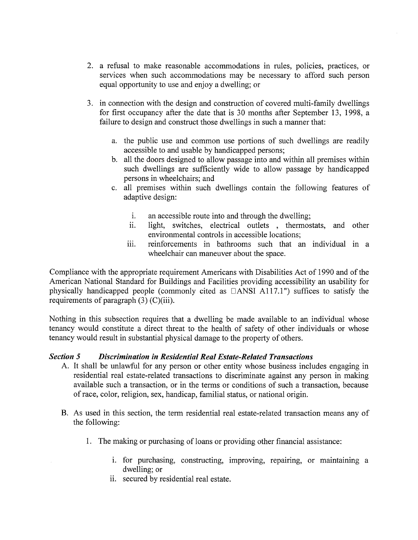- 2**.** a refusal to make reasonable accommodations in rules, policies, practices, or services when such accommodations may be necessary to afford such person equal opportunity to use and enjoy a dwelling; or
- 3. in connection with the design and construction of covered multi-family dwellings for first occupancy after the date that is 30 months after September 13, 1998, a failure to design and construct those dwellings in such a manner that:
	- a. the public use and common use portions of such dwellings are readily accessible to and usable by handicapped persons;
	- b. all the doors designed to allow passage into and within all premises within such dwellings are sufficiently wide to allow passage by handicapped persons in wheelchairs; and
	- c. all premises within such dwellings contain the following features of adaptive design:
		- i. an accessible route into and through the dwelling;
		- ii. light, switches, electrical outlets , thermostats, and other environmental controls in accessible locations;
		- iii. reinforcements in bathrooms such that an individual in a wheelchair can maneuver about the space.

Compliance with the appropriate requirement Americans with Disabilities Act of 1990 and of the American National Standard for Buildings and Facilities providing accessibility an usability for physically handicapped people (commonly cited as  $\Box$ ANSI A117.1") suffices to satisfy the requirements of paragraph  $(3)$  (C)(iii).

Nothing in this subsection requires that a dwelling be made available to an individual whose tenancy would constitute a direct threat to the health of safety of other individuals or whose tenancy would result in substantial physical damage to the property of others.

# *Section 5 Discrimination in Residential Real Estate-Related Transactions*

- *A.* It shall be unlawful for any person or other entity whose business includes engaging in residential real estate-related transactions to discriminate against any person in making available such a transaction, or in the terms or conditions of such a transaction, because ofrace, color, religion, sex, handicap, familial status, or national origin.
- B. As used in this section, the term residential real estate-related transaction means any of the following:
	- 1. The making or purchasing of loans or providing other financial assistance:
		- i. for purchasing, constructing, improving, repairing, or maintaining a dwelling; or
		- ii. secured by residential real estate.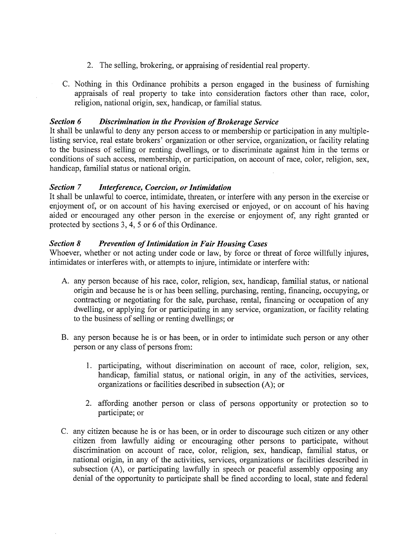- 2. The selling, brokering, or appraising of residential real property.
- C. Nothing in this Ordinance prohibits a person engaged in the business of furnishing appraisals of real property to take into consideration factors other than race, color, religion, national origin, sex, handicap, or familial status.

### *Section* 6 Discrimination in the Provision of Brokerage Service

It shall be unlawful to deny any person access to or membership or participation in any multiplelisting service, real estate brokers' organization or other service, organization, or facility relating to the business of selling or renting dwellings, or to discriminate against him in the terms or conditions of such access, membership, or participation, on account of race, color, religion, sex, handicap, familial status or national origin.

### *Section 7 Interference, Coercion, orIntimidation*

It shall be unlawful to coerce, intimidate, threaten, or interfere with any person in the exercise or enjoyment of, or on account of his having exercised or enjoyed, or on account of his having aided or encouraged any other person in the exercise or enjoyment of, any right granted or protected by sections 3, 4, 5 or 6 of this Ordinance.

### *Section 8 Prevention ofIntimidation in Fair Homing Cases*

Whoever, whether or not acting under code or law, by force or threat of force willfully injures, intimidates or interferes with, or attempts to injure, intimidate or interfere with:

- A. any person because of his race, color, religion, sex, handicap, familial status, or national origin and because he is or has been selling, purchasing, renting, financing, occupying, or contracting or negotiating for the sale, purchase, rental, financing or occupation of any dwelling, or applying for or participating in any service, organization, or facility relating to the business of selling or renting dwellings; or
- B. any person because he is or has been, or in order to intimidate such person or any other person or any class of persons from:
	- 1. participating, without discrimination on account of race, color, religion, sex, handicap, familial status, or national origin, in any of the activities, services, organizations or facilities described in subsection (A); or
	- 2. affording another person or class of persons opportunity or protection so to participate; or
- C. any citizen because he is or has been, or in order to discourage such citizen or any other citizen from lawfully aiding or encouraging other persons to participate, without discrimination on account of race, color, religion, sex, handicap, familial status, or national origin, in any of the activities, services, organizations or facilities described in subsection (A), or participating lawfully in speech or peaceful assembly opposing any denial of the opportunity to participate shall be fined according to local, state and federal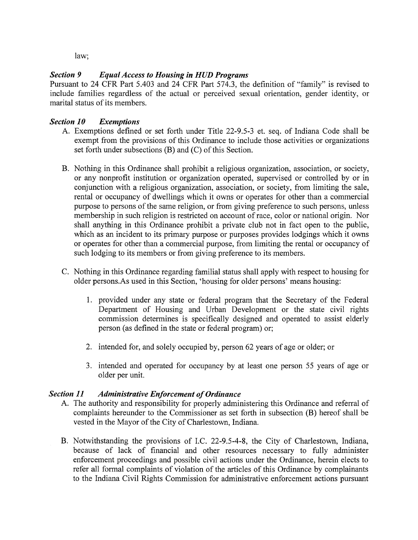law;

# *Section 9 EqualAccess to Housing in HUD Programs*

Pursuant to 24 CFR Part 5.403 and 24 CFR Part 574.3, the definition of "family" is revised to include families regardless of the actual or perceived sexual orientation, gender identity, or marital status of its members.

# *Section 10 Exemptions*

- A. Exemptions defined or set forth under Title 22-9.5-3 et. seq. of Indiana Code shall be exempt from the provisions of this Ordinance to include those activities or organizations set forth under subsections  $(B)$  and  $(C)$  of this Section.
- B. Nothing in this Ordinance shall prohibit a religious organization, association, or society, or any nonprofit institution or organization operated, supervised or controlled by or in conjunction with a religious organization, association, or society, from limiting the sale, rental or occupancy of dwellings which it owns or operates for other than a commercial purpose to persons of the same religion, or from giving preference to such persons, unless membership in such religion is restricted on account of race, color or national origin. Nor shall anything in this Ordinance prohibit a private club not in fact open to the public, which as an incident to its primary purpose or purposes provides lodgings which it owns or operates for other than a commercial purpose, from limiting the rental or occupancy of such lodging to its members or from giving preference to its members.
- C. Nothing in this Ordinance regarding familial status shall apply with respect to housing for older persons.As used in this Section, 'housing for older persons' means housing:
	- 1. provided under any state or federal program that the Secretary of the Federal Department of Housing and Urban Development or the state civil rights commission determines is specifically designed and operated to assist elderly person (as defined in the state or federal program) or;
	- 2. intended for, and solely occupied by, person 62 years of age or older; or
	- 3. intended and operated for occupancy by at least one person 55 years of age or older per unit.

# **Section 11 • Administrative Enforcement of Ordinance**

- A. The authority and responsibility for properly administering this Ordinance and referral of complaints hereunder to the Commissioner as set forth in subsection (B) hereof shall be vested in the Mayor of the City of Charlestown, Indiana.
- B. Notwithstanding the provisions of I.C. 22-9.5-4-8, the City of Charlestovm, Indiana, because of lack of financial and other resources necessary to fully administer enforcement proceedings and possible civil actions under the Ordinance, herein elects to refer all formal complaints of violation of the articles of this Ordinance by complainants to the Indiana Civil Rights Commission for administrative enforcement actions pursuant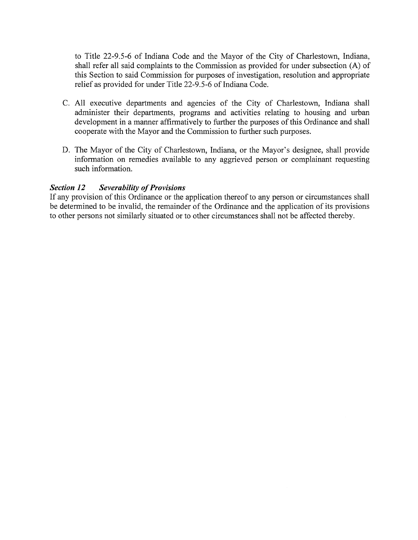to Title 22-9.5-6 of Indiana Code and the Mayor of the City of Charlestown, Indiana, shall refer all said complaints to the Commission as provided for under subsection (A) of this Section to said Commission for purposes of investigation, resolution and appropriate relief as provided for under Title 22-9.5-6 of Indiana Code.

- C. All executive departments and agencies of the City of Charlestown, Indiana shall administer their departments, programs and activities relating to housing and urban development in a manner affirmatively to further the purposes of this Ordinance and shall cooperate with the Mayor and the Commission to further such purposes.
- D. The Mayor of the City of Charlestown, Indiana, or the Mayor's designee, shall provide information on remedies available to any aggrieved person or complainant requesting such information.

### **Section 12 Severability of Provisions**

If any provision of this Ordinance or the application thereof to any person or circumstances shall be determined to be invalid, the remainder of the Ordinance and the application of its provisions to other persons not similarly situated or to other circumstances shall not be affected thereby.